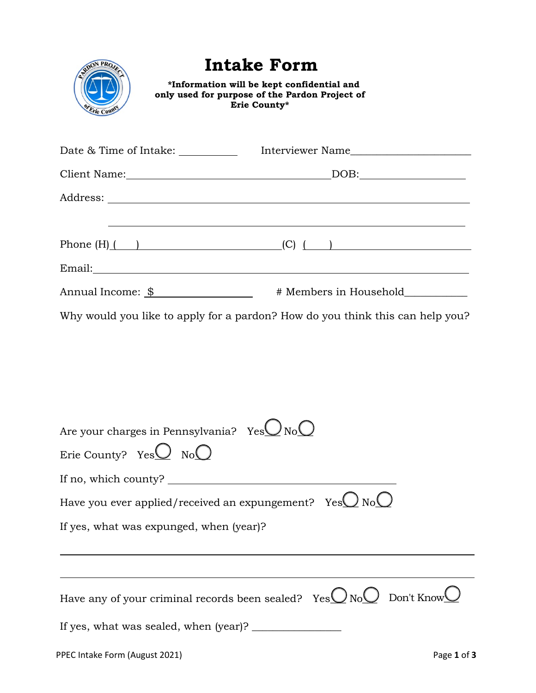| <b><i>Crie Coun</i></b> | <b>Intake Form</b><br>*Information will be kept confidential and<br>only used for purpose of the Pardon Project of<br>Erie County* |
|-------------------------|------------------------------------------------------------------------------------------------------------------------------------|
|                         |                                                                                                                                    |
|                         |                                                                                                                                    |
|                         |                                                                                                                                    |
|                         |                                                                                                                                    |
|                         |                                                                                                                                    |
|                         |                                                                                                                                    |
|                         | Why would you like to apply for a pardon? How do you think this can help you?                                                      |

| Are your charges in Pennsylvania? Yes $\bigcup$ No                  |
|---------------------------------------------------------------------|
| Erie County? $YesQ \tNoQ$                                           |
| If no, which county?                                                |
| Have you ever applied/received an expungement? $YesQNoQ$            |
| If yes, what was expunged, when (year)?                             |
|                                                                     |
|                                                                     |
| Have any of your criminal records been sealed? $YesQNoQ$ Don't Know |
| If yes, what was sealed, when (year)?                               |
| PPEC Intake Form (August 2021)<br>Page 1 of 3                       |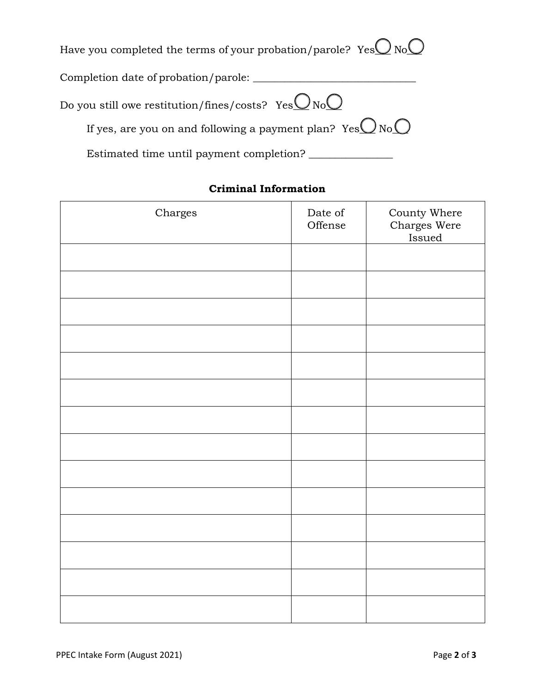Have you completed the terms of your probation/parole?  $YesQNoQ$ 

Completion date of probation/parole: \_\_\_\_\_\_\_\_\_\_\_\_\_\_\_\_\_\_\_\_\_\_\_\_\_\_\_\_\_\_\_

| If yes, are you on and following a payment plan? $YesQNoO$ |
|------------------------------------------------------------|
| Estimated time until payment completion?                   |

## **Criminal Information**

| Charges | Date of<br>Offense | County Where<br>Charges Were<br>Issued |
|---------|--------------------|----------------------------------------|
|         |                    |                                        |
|         |                    |                                        |
|         |                    |                                        |
|         |                    |                                        |
|         |                    |                                        |
|         |                    |                                        |
|         |                    |                                        |
|         |                    |                                        |
|         |                    |                                        |
|         |                    |                                        |
|         |                    |                                        |
|         |                    |                                        |
|         |                    |                                        |
|         |                    |                                        |